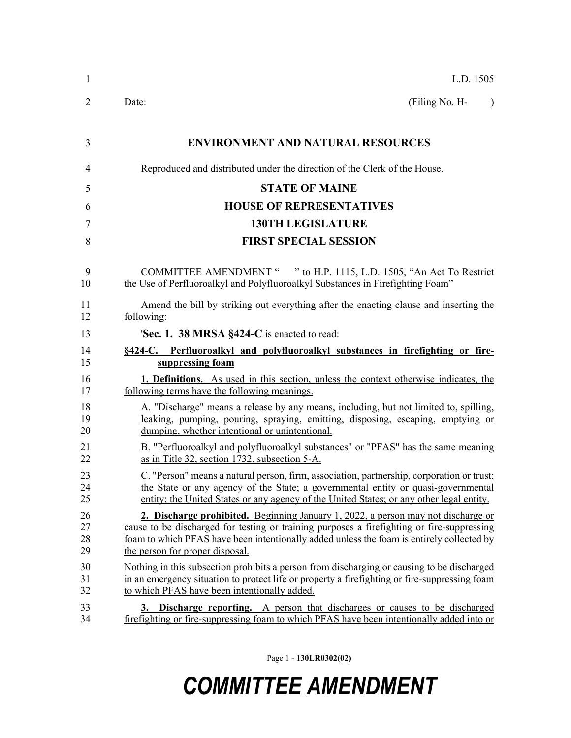| 1                    | L.D. 1505                                                                                                                                                                                                                                                                                                       |  |  |  |  |
|----------------------|-----------------------------------------------------------------------------------------------------------------------------------------------------------------------------------------------------------------------------------------------------------------------------------------------------------------|--|--|--|--|
| 2                    | (Filing No. H-<br>Date:<br>$\lambda$                                                                                                                                                                                                                                                                            |  |  |  |  |
| 3                    | <b>ENVIRONMENT AND NATURAL RESOURCES</b>                                                                                                                                                                                                                                                                        |  |  |  |  |
| 4                    | Reproduced and distributed under the direction of the Clerk of the House.                                                                                                                                                                                                                                       |  |  |  |  |
| 5                    | <b>STATE OF MAINE</b>                                                                                                                                                                                                                                                                                           |  |  |  |  |
| 6                    | <b>HOUSE OF REPRESENTATIVES</b>                                                                                                                                                                                                                                                                                 |  |  |  |  |
| 7                    | <b>130TH LEGISLATURE</b>                                                                                                                                                                                                                                                                                        |  |  |  |  |
| 8                    | <b>FIRST SPECIAL SESSION</b>                                                                                                                                                                                                                                                                                    |  |  |  |  |
| 9<br>10              | COMMITTEE AMENDMENT " " to H.P. 1115, L.D. 1505, "An Act To Restrict<br>the Use of Perfluoroalkyl and Polyfluoroalkyl Substances in Firefighting Foam"                                                                                                                                                          |  |  |  |  |
| 11<br>12             | Amend the bill by striking out everything after the enacting clause and inserting the<br>following:                                                                                                                                                                                                             |  |  |  |  |
| 13                   | 'Sec. 1. 38 MRSA §424-C is enacted to read:                                                                                                                                                                                                                                                                     |  |  |  |  |
| 14                   | §424-C. Perfluoroalkyl and polyfluoroalkyl substances in firefighting or fire-                                                                                                                                                                                                                                  |  |  |  |  |
| 15                   | suppressing foam                                                                                                                                                                                                                                                                                                |  |  |  |  |
| 16<br>17             | 1. Definitions. As used in this section, unless the context otherwise indicates, the<br>following terms have the following meanings.                                                                                                                                                                            |  |  |  |  |
| 18<br>19<br>20       | A. "Discharge" means a release by any means, including, but not limited to, spilling,<br>leaking, pumping, pouring, spraying, emitting, disposing, escaping, emptying or<br>dumping, whether intentional or unintentional.                                                                                      |  |  |  |  |
| 21<br>22             | B. "Perfluoroalkyl and polyfluoroalkyl substances" or "PFAS" has the same meaning<br>as in Title 32, section 1732, subsection 5-A.                                                                                                                                                                              |  |  |  |  |
| 23<br>24<br>25       | C. "Person" means a natural person, firm, association, partnership, corporation or trust;<br>the State or any agency of the State; a governmental entity or quasi-governmental<br>entity; the United States or any agency of the United States; or any other legal entity.                                      |  |  |  |  |
| 26<br>27<br>28<br>29 | 2. Discharge prohibited. Beginning January 1, 2022, a person may not discharge or<br>cause to be discharged for testing or training purposes a firefighting or fire-suppressing<br>foam to which PFAS have been intentionally added unless the foam is entirely collected by<br>the person for proper disposal. |  |  |  |  |
| 30<br>31<br>32       | Nothing in this subsection prohibits a person from discharging or causing to be discharged<br>in an emergency situation to protect life or property a firefighting or fire-suppressing foam<br>to which PFAS have been intentionally added.                                                                     |  |  |  |  |
| 33<br>34             | 3. Discharge reporting. A person that discharges or causes to be discharged<br>firefighting or fire-suppressing foam to which PFAS have been intentionally added into or                                                                                                                                        |  |  |  |  |

Page 1 - **130LR0302(02)**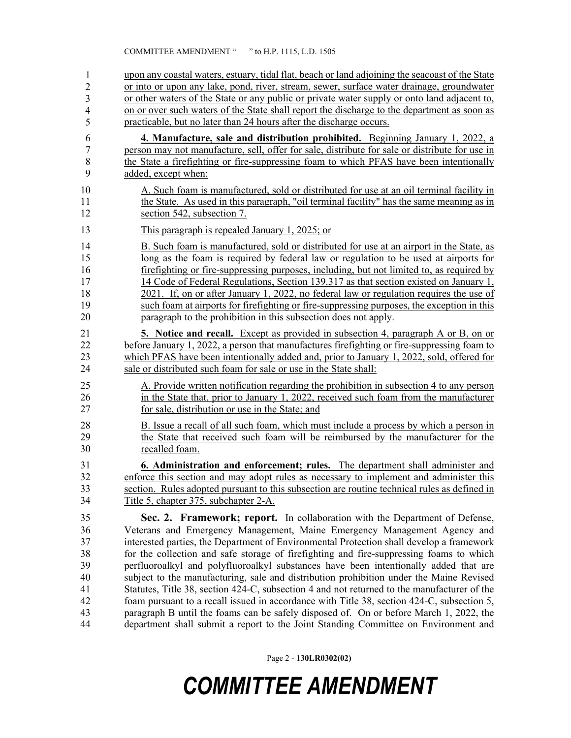| $\mathbf{1}$   | upon any coastal waters, estuary, tidal flat, beach or land adjoining the seacoast of the State |  |  |
|----------------|-------------------------------------------------------------------------------------------------|--|--|
| $\overline{c}$ | or into or upon any lake, pond, river, stream, sewer, surface water drainage, groundwater       |  |  |
| 3              | or other waters of the State or any public or private water supply or onto land adjacent to,    |  |  |
| 4              | on or over such waters of the State shall report the discharge to the department as soon as     |  |  |
| 5              | practicable, but no later than 24 hours after the discharge occurs.                             |  |  |
| 6              | 4. Manufacture, sale and distribution prohibited. Beginning January 1, 2022, a                  |  |  |
| 7              | person may not manufacture, sell, offer for sale, distribute for sale or distribute for use in  |  |  |
| 8              | the State a firefighting or fire-suppressing foam to which PFAS have been intentionally         |  |  |
| 9              | added, except when:                                                                             |  |  |
| 10             | A. Such foam is manufactured, sold or distributed for use at an oil terminal facility in        |  |  |
| 11             | the State. As used in this paragraph, "oil terminal facility" has the same meaning as in        |  |  |
| 12             | section 542, subsection 7.                                                                      |  |  |
| 13             | This paragraph is repealed January 1, 2025; or                                                  |  |  |
| 14             | B. Such foam is manufactured, sold or distributed for use at an airport in the State, as        |  |  |
| 15             | long as the foam is required by federal law or regulation to be used at airports for            |  |  |
| 16             | firefighting or fire-suppressing purposes, including, but not limited to, as required by        |  |  |
| 17             | 14 Code of Federal Regulations, Section 139.317 as that section existed on January 1,           |  |  |
| 18             | 2021. If, on or after January 1, 2022, no federal law or regulation requires the use of         |  |  |
| 19             | such foam at airports for firefighting or fire-suppressing purposes, the exception in this      |  |  |
| 20             | paragraph to the prohibition in this subsection does not apply.                                 |  |  |
| 21             | <b>5.</b> Notice and recall. Except as provided in subsection 4, paragraph A or B, on or        |  |  |
| 22             | before January 1, 2022, a person that manufactures firefighting or fire-suppressing foam to     |  |  |
| 23             | which PFAS have been intentionally added and, prior to January 1, 2022, sold, offered for       |  |  |
| 24             | sale or distributed such foam for sale or use in the State shall:                               |  |  |
| 25             | A. Provide written notification regarding the prohibition in subsection 4 to any person         |  |  |
| 26             | in the State that, prior to January 1, 2022, received such foam from the manufacturer           |  |  |
| 27             | for sale, distribution or use in the State; and                                                 |  |  |
| 28             | B. Issue a recall of all such foam, which must include a process by which a person in           |  |  |
| 29             | the State that received such foam will be reimbursed by the manufacturer for the                |  |  |
| 30             | recalled foam.                                                                                  |  |  |
| 31             | <b>6. Administration and enforcement; rules.</b> The department shall administer and            |  |  |
| 32             | enforce this section and may adopt rules as necessary to implement and administer this          |  |  |
| 33             | section. Rules adopted pursuant to this subsection are routine technical rules as defined in    |  |  |
| 34             | Title 5, chapter 375, subchapter 2-A.                                                           |  |  |
| 35             | Sec. 2. Framework; report. In collaboration with the Department of Defense,                     |  |  |
| 36             | Veterans and Emergency Management, Maine Emergency Management Agency and                        |  |  |
| 37             | interested parties, the Department of Environmental Protection shall develop a framework        |  |  |
| 38             | for the collection and safe storage of firefighting and fire-suppressing foams to which         |  |  |
| 39             | perfluoroalkyl and polyfluoroalkyl substances have been intentionally added that are            |  |  |
| 40             | subject to the manufacturing, sale and distribution prohibition under the Maine Revised         |  |  |
| 41             | Statutes, Title 38, section 424-C, subsection 4 and not returned to the manufacturer of the     |  |  |
| 42             | foam pursuant to a recall issued in accordance with Title 38, section 424-C, subsection 5,      |  |  |
| 43             | paragraph B until the foams can be safely disposed of. On or before March 1, 2022, the          |  |  |
| 44             | department shall submit a report to the Joint Standing Committee on Environment and             |  |  |

Page 2 - **130LR0302(02)**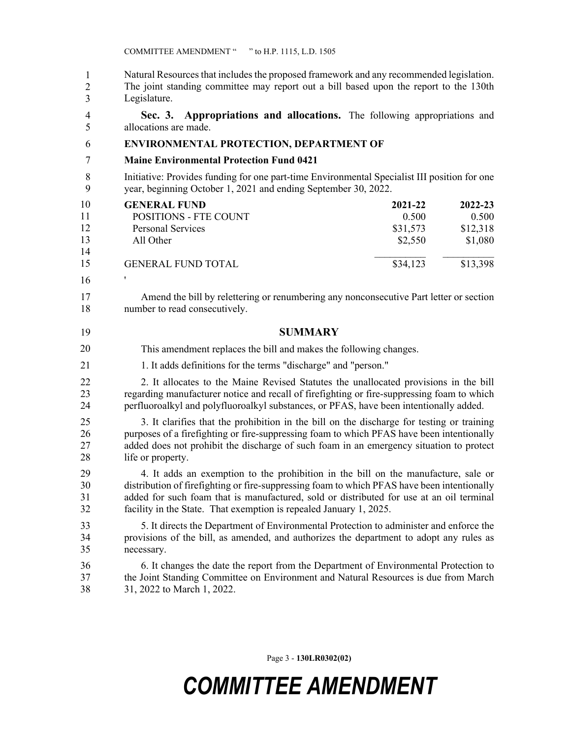Natural Resources that includes the proposed framework and any recommended legislation. The joint standing committee may report out a bill based upon the report to the 130th Legislature. 1 2 3

4 **Sec. 3. Appropriations and allocations.** The following appropriations and 5 allocations are made.

### 6 **ENVIRONMENTAL PROTECTION, DEPARTMENT OF**

- 7 **Maine Environmental Protection Fund 0421**
- 8 Initiative: Provides funding for one part-time Environmental Specialist III position for one 9 year, beginning October 1, 2021 and ending September 30, 2022.

| 10 | <b>GENERAL FUND</b>          | 2021-22  | $2022 - 23$ |
|----|------------------------------|----------|-------------|
| 11 | <b>POSITIONS - FTE COUNT</b> | 0.500    | 0.500       |
| 12 | Personal Services            | \$31,573 | \$12,318    |
| 13 | All Other                    | \$2,550  | \$1,080     |
| 14 |                              |          |             |
| 15 | <b>GENERAL FUND TOTAL</b>    | \$34,123 | \$13,398    |

10 ' 16

17 Amend the bill by relettering or renumbering any nonconsecutive Part letter or section 18 number to read consecutively.

19 **SUMMARY**

This amendment replaces the bill and makes the following changes. 20

21 1. It adds definitions for the terms "discharge" and "person."

22 2. It allocates to the Maine Revised Statutes the unallocated provisions in the bill 23 regarding manufacturer notice and recall of firefighting or fire-suppressing foam to which 24 perfluoroalkyl and polyfluoroalkyl substances, or PFAS, have been intentionally added.

25 3. It clarifies that the prohibition in the bill on the discharge for testing or training 26 purposes of a firefighting or fire-suppressing foam to which PFAS have been intentionally 27 added does not prohibit the discharge of such foam in an emergency situation to protect 28 life or property.

29 4. It adds an exemption to the prohibition in the bill on the manufacture, sale or 30 distribution of firefighting or fire-suppressing foam to which PFAS have been intentionally 31 added for such foam that is manufactured, sold or distributed for use at an oil terminal 32 facility in the State. That exemption is repealed January 1, 2025.

33 5. It directs the Department of Environmental Protection to administer and enforce the 34 provisions of the bill, as amended, and authorizes the department to adopt any rules as 35 necessary.

36 6. It changes the date the report from the Department of Environmental Protection to 37 the Joint Standing Committee on Environment and Natural Resources is due from March 38 31, 2022 to March 1, 2022.

Page 3 - **130LR0302(02)**